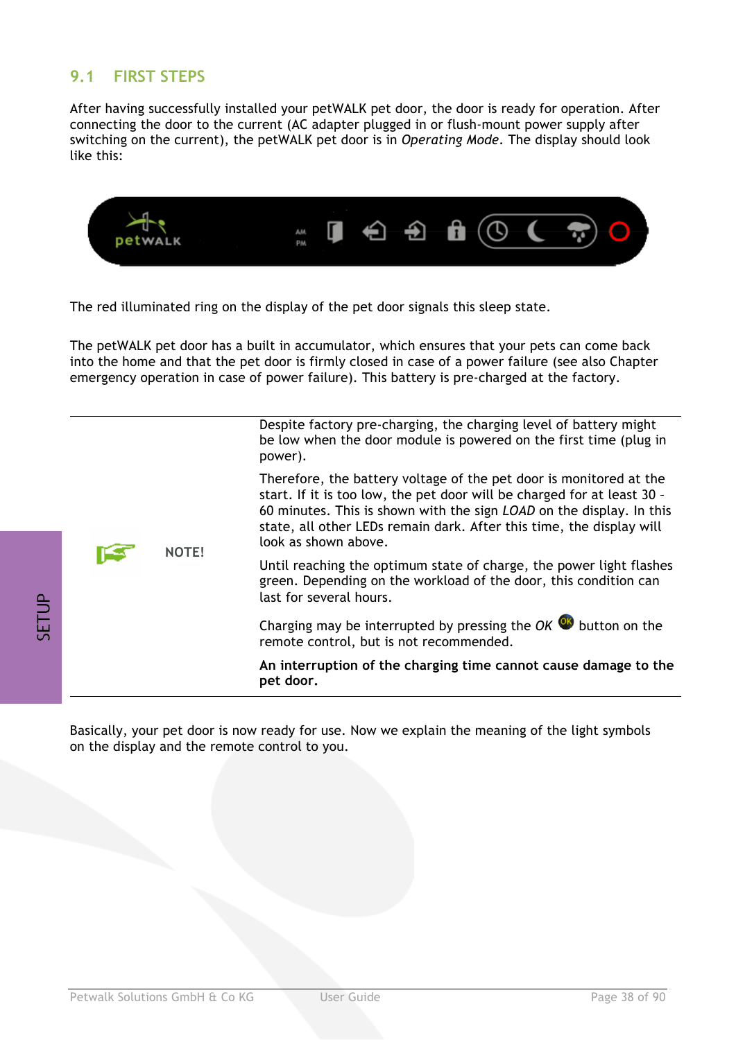## **9.1 FIRST STEPS**

After having successfully installed your petWALK pet door, the door is ready for operation. After connecting the door to the current (AC adapter plugged in or flush-mount power supply after switching on the current), the petWALK pet door is in *Operating Mode*. The display should look like this:



The red illuminated ring on the display of the pet door signals this sleep state.

The petWALK pet door has a built in accumulator, which ensures that your pets can come back into the home and that the pet door is firmly closed in case of a power failure (see also Chapter emergency operation in case of power failure). This battery is pre-charged at the factory.

|  | NOTE! | Despite factory pre-charging, the charging level of battery might<br>be low when the door module is powered on the first time (plug in<br>power).                                                                                                                                                                     |
|--|-------|-----------------------------------------------------------------------------------------------------------------------------------------------------------------------------------------------------------------------------------------------------------------------------------------------------------------------|
|  |       | Therefore, the battery voltage of the pet door is monitored at the<br>start. If it is too low, the pet door will be charged for at least 30 -<br>60 minutes. This is shown with the sign LOAD on the display. In this<br>state, all other LEDs remain dark. After this time, the display will<br>look as shown above. |
|  |       | Until reaching the optimum state of charge, the power light flashes<br>green. Depending on the workload of the door, this condition can<br>last for several hours.                                                                                                                                                    |
|  |       | Charging may be interrupted by pressing the OK $\bullet$ button on the<br>remote control, but is not recommended.                                                                                                                                                                                                     |
|  |       | An interruption of the charging time cannot cause damage to the<br>pet door.                                                                                                                                                                                                                                          |

Basically, your pet door is now ready for use. Now we explain the meaning of the light symbols on the display and the remote control to you.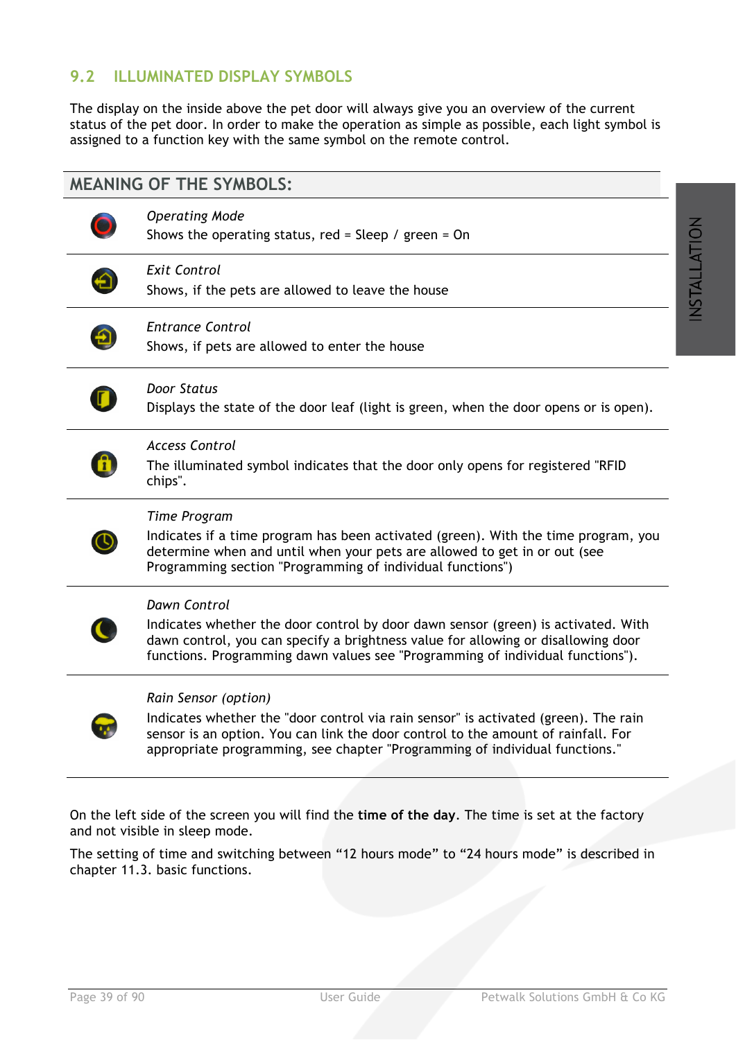# **9.2 ILLUMINATED DISPLAY SYMBOLS**

The display on the inside above the pet door will always give you an overview of the current status of the pet door. In order to make the operation as simple as possible, each light symbol is assigned to a function key with the same symbol on the remote control.

## **MEANING OF THE SYMBOLS:**



### *Operating Mode*

Shows the operating status, red = Sleep / green =  $On$ 



### *Exit Control*

Shows, if the pets are allowed to leave the house



### *Entrance Control*

Shows, if pets are allowed to enter the house



### *Door Status*

Displays the state of the door leaf (light is green, when the door opens or is open).



#### *Access Control*

The illuminated symbol indicates that the door only opens for registered "RFID chips".



### *Time Program*

Indicates if a time program has been activated (green). With the time program, you determine when and until when your pets are allowed to get in or out (see Programming section "Programming of individual functions")



### *Dawn Control*

Indicates whether the door control by door dawn sensor (green) is activated. With dawn control, you can specify a brightness value for allowing or disallowing door functions. Programming dawn values see "Programming of individual functions").

#### *Rain Sensor (option)*

Indicates whether the "door control via rain sensor" is activated (green). The rain sensor is an option. You can link the door control to the amount of rainfall. For appropriate programming, see chapter "Programming of individual functions."

On the left side of the screen you will find the **time of the day**. The time is set at the factory and not visible in sleep mode.

The setting of time and switching between "12 hours mode" to "24 hours mode" is described in chapter 11.3. basic functions.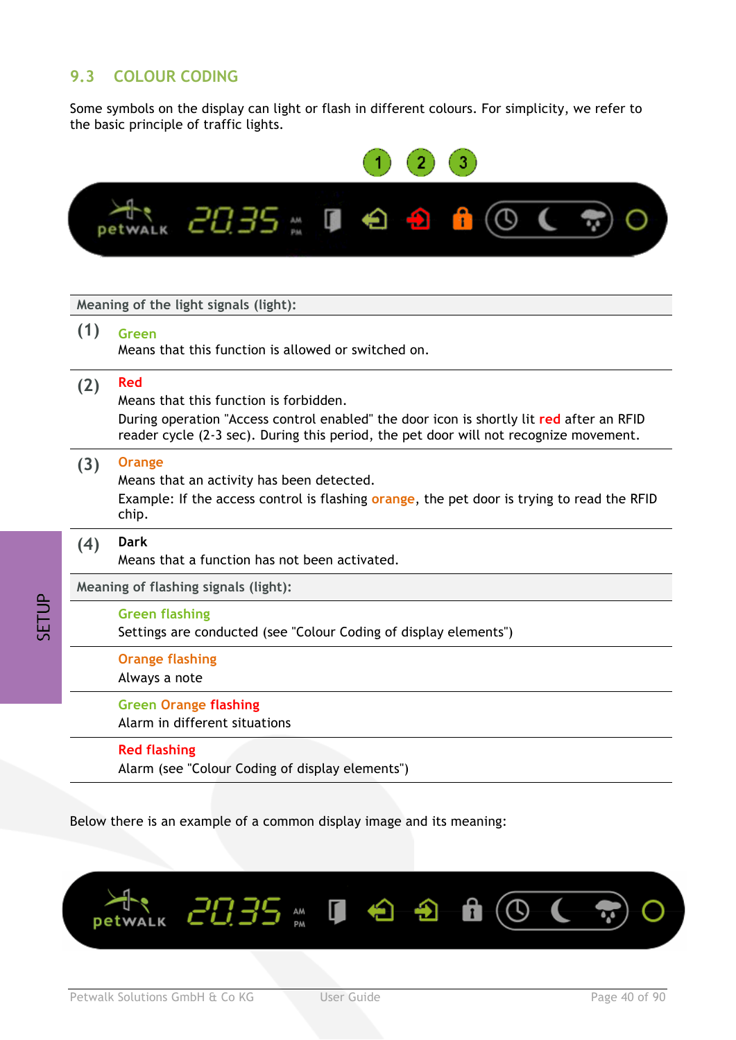# **9.3 COLOUR CODING**

Some symbols on the display can light or flash in different colours. For simplicity, we refer to the basic principle of traffic lights.



Below there is an example of a common display image and its meaning:



**AUTA**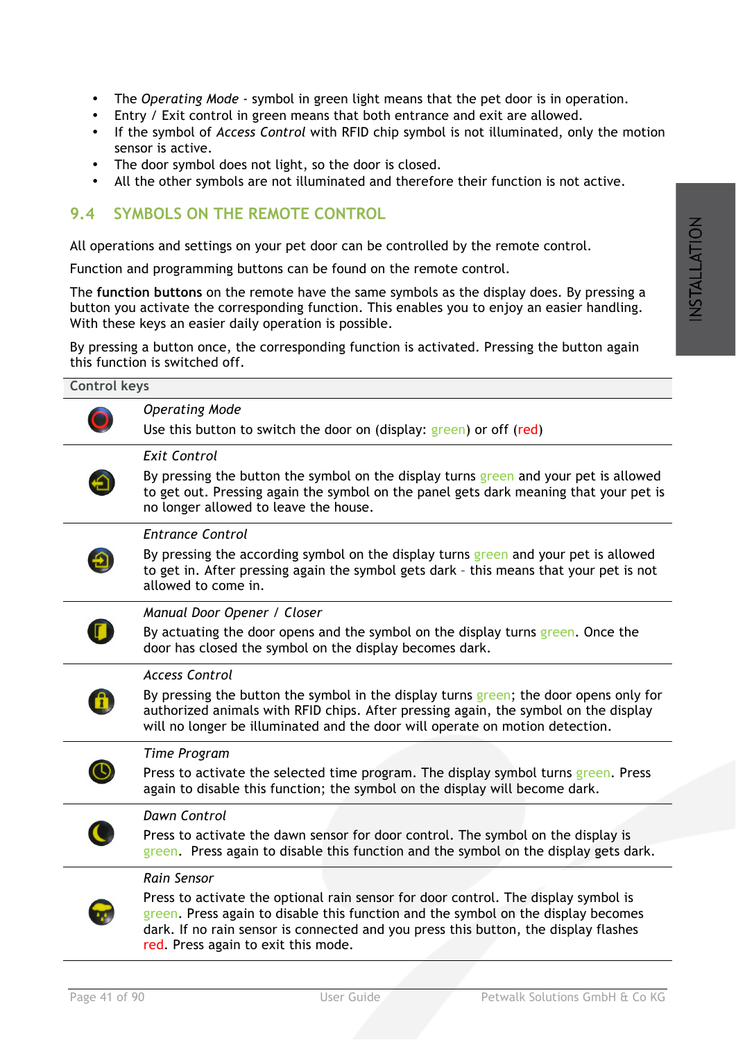- The *Operating Mode* symbol in green light means that the pet door is in operation.
- Entry / Exit control in green means that both entrance and exit are allowed.
- If the symbol of *Access Control* with RFID chip symbol is not illuminated, only the motion sensor is active.
- The door symbol does not light, so the door is closed.
- All the other symbols are not illuminated and therefore their function is not active.

## **9.4 SYMBOLS ON THE REMOTE CONTROL**

All operations and settings on your pet door can be controlled by the remote control.

Function and programming buttons can be found on the remote control.

The **function buttons** on the remote have the same symbols as the display does. By pressing a button you activate the corresponding function. This enables you to enjoy an easier handling. With these keys an easier daily operation is possible.

By pressing a button once, the corresponding function is activated. Pressing the button again this function is switched off.

| <b>Control keys</b> |                                                                                                                                                                                                                                                                |
|---------------------|----------------------------------------------------------------------------------------------------------------------------------------------------------------------------------------------------------------------------------------------------------------|
|                     | <b>Operating Mode</b>                                                                                                                                                                                                                                          |
|                     | Use this button to switch the door on (display: green) or off (red)                                                                                                                                                                                            |
|                     | <b>Exit Control</b>                                                                                                                                                                                                                                            |
|                     | By pressing the button the symbol on the display turns green and your pet is allowed<br>to get out. Pressing again the symbol on the panel gets dark meaning that your pet is<br>no longer allowed to leave the house.                                         |
|                     | <b>Entrance Control</b>                                                                                                                                                                                                                                        |
|                     | By pressing the according symbol on the display turns green and your pet is allowed<br>to get in. After pressing again the symbol gets dark - this means that your pet is not<br>allowed to come in.                                                           |
|                     | Manual Door Opener / Closer                                                                                                                                                                                                                                    |
|                     | By actuating the door opens and the symbol on the display turns green. Once the<br>door has closed the symbol on the display becomes dark.                                                                                                                     |
|                     | <b>Access Control</b>                                                                                                                                                                                                                                          |
|                     | By pressing the button the symbol in the display turns green; the door opens only for<br>authorized animals with RFID chips. After pressing again, the symbol on the display<br>will no longer be illuminated and the door will operate on motion detection.   |
|                     | <b>Time Program</b>                                                                                                                                                                                                                                            |
|                     | Press to activate the selected time program. The display symbol turns green. Press<br>again to disable this function; the symbol on the display will become dark.                                                                                              |
|                     | <b>Dawn Control</b>                                                                                                                                                                                                                                            |
|                     | Press to activate the dawn sensor for door control. The symbol on the display is<br>green. Press again to disable this function and the symbol on the display gets dark.                                                                                       |
|                     | Rain Sensor                                                                                                                                                                                                                                                    |
|                     | Press to activate the optional rain sensor for door control. The display symbol is<br>green. Press again to disable this function and the symbol on the display becomes<br>dark. If no rain sensor is connected and you press this button, the display flashes |

red. Press again to exit this mode.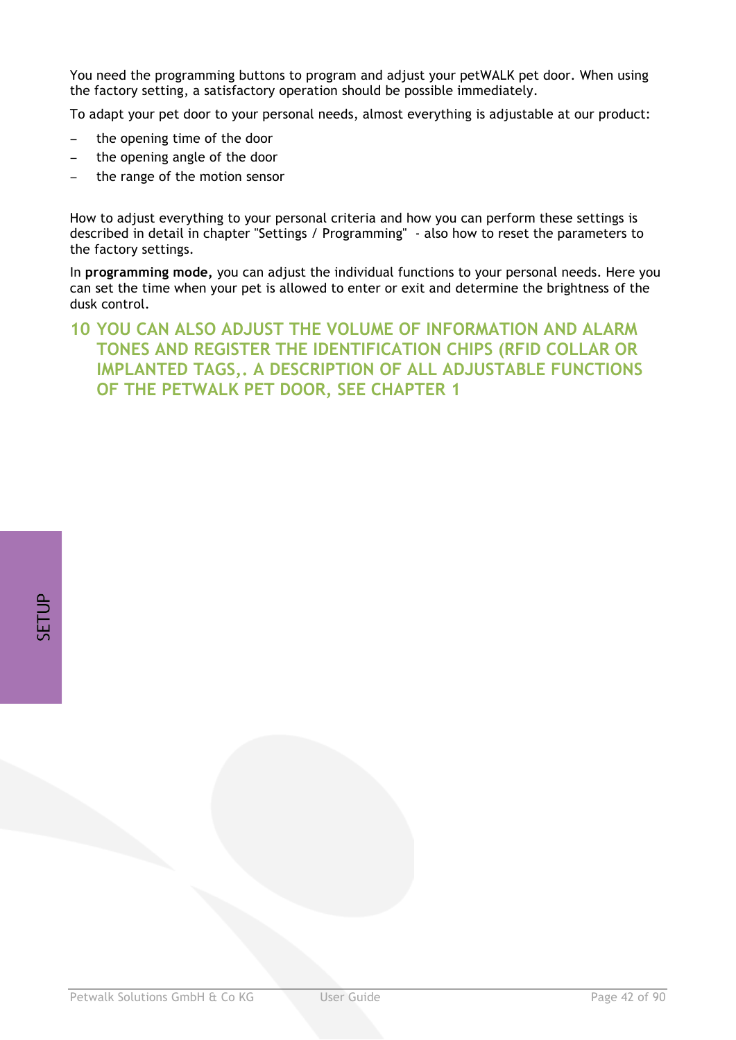You need the programming buttons to program and adjust your petWALK pet door. When using the factory setting, a satisfactory operation should be possible immediately.

To adapt your pet door to your personal needs, almost everything is adjustable at our product:

- the opening time of the door
- − the opening angle of the door
- the range of the motion sensor

How to adjust everything to your personal criteria and how you can perform these settings is described in detail in chapter "Settings / Programming" - also how to reset the parameters to the factory settings.

In **programming mode,** you can adjust the individual functions to your personal needs. Here you can set the time when your pet is allowed to enter or exit and determine the brightness of the dusk control.

# **10 YOU CAN ALSO ADJUST THE VOLUME OF INFORMATION AND ALARM TONES AND REGISTER THE IDENTIFICATION CHIPS (RFID COLLAR OR IMPLANTED TAGS,. A DESCRIPTION OF ALL ADJUSTABLE FUNCTIONS OF THE PETWALK PET DOOR, SEE CHAPTER 1**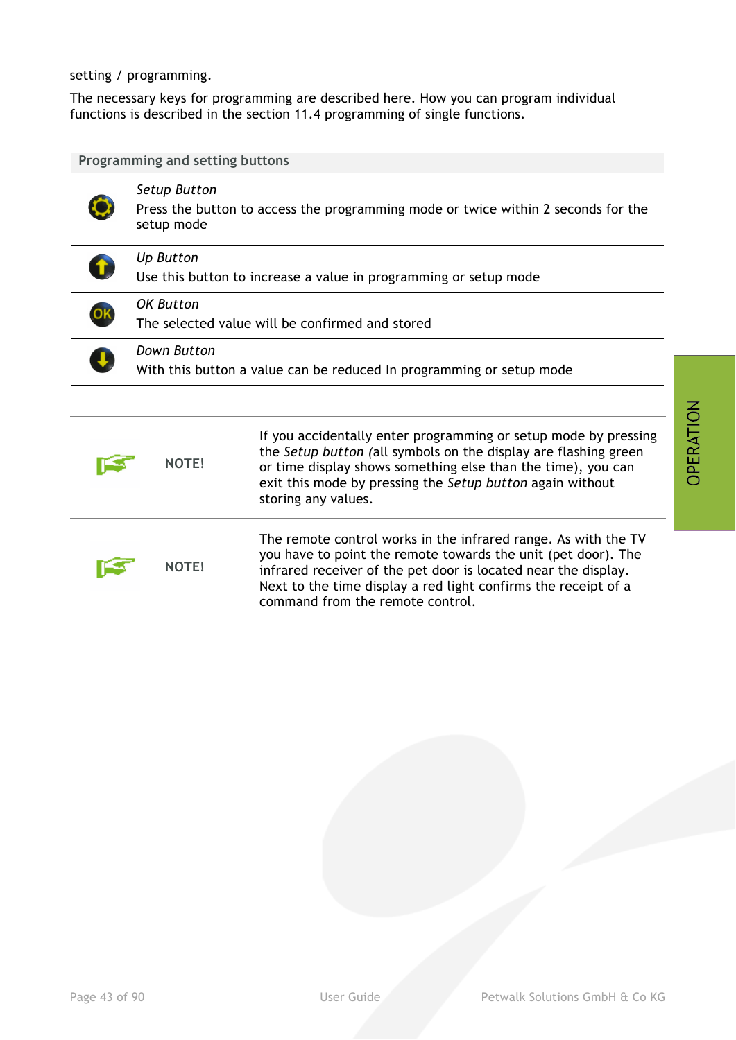setting / programming.

The necessary keys for programming are described here. How you can program individual functions is described in the section 11.4 programming of single functions.

| Programming and setting buttons                                                     |                                                                                      |                                                                                                                                                                                                                                                                                                         |  |  |
|-------------------------------------------------------------------------------------|--------------------------------------------------------------------------------------|---------------------------------------------------------------------------------------------------------------------------------------------------------------------------------------------------------------------------------------------------------------------------------------------------------|--|--|
|                                                                                     | <b>Setup Button</b><br>setup mode                                                    | Press the button to access the programming mode or twice within 2 seconds for the                                                                                                                                                                                                                       |  |  |
|                                                                                     | <b>Up Button</b><br>Use this button to increase a value in programming or setup mode |                                                                                                                                                                                                                                                                                                         |  |  |
|                                                                                     | <b>OK Button</b><br>The selected value will be confirmed and stored                  |                                                                                                                                                                                                                                                                                                         |  |  |
| Down Button<br>With this button a value can be reduced In programming or setup mode |                                                                                      |                                                                                                                                                                                                                                                                                                         |  |  |
|                                                                                     | <b>NOTE!</b>                                                                         | If you accidentally enter programming or setup mode by pressing<br>the Setup button (all symbols on the display are flashing green<br>or time display shows something else than the time), you can<br>exit this mode by pressing the Setup button again without<br>storing any values.                  |  |  |
|                                                                                     | <b>NOTE!</b>                                                                         | The remote control works in the infrared range. As with the TV<br>you have to point the remote towards the unit (pet door). The<br>infrared receiver of the pet door is located near the display.<br>Next to the time display a red light confirms the receipt of a<br>command from the remote control. |  |  |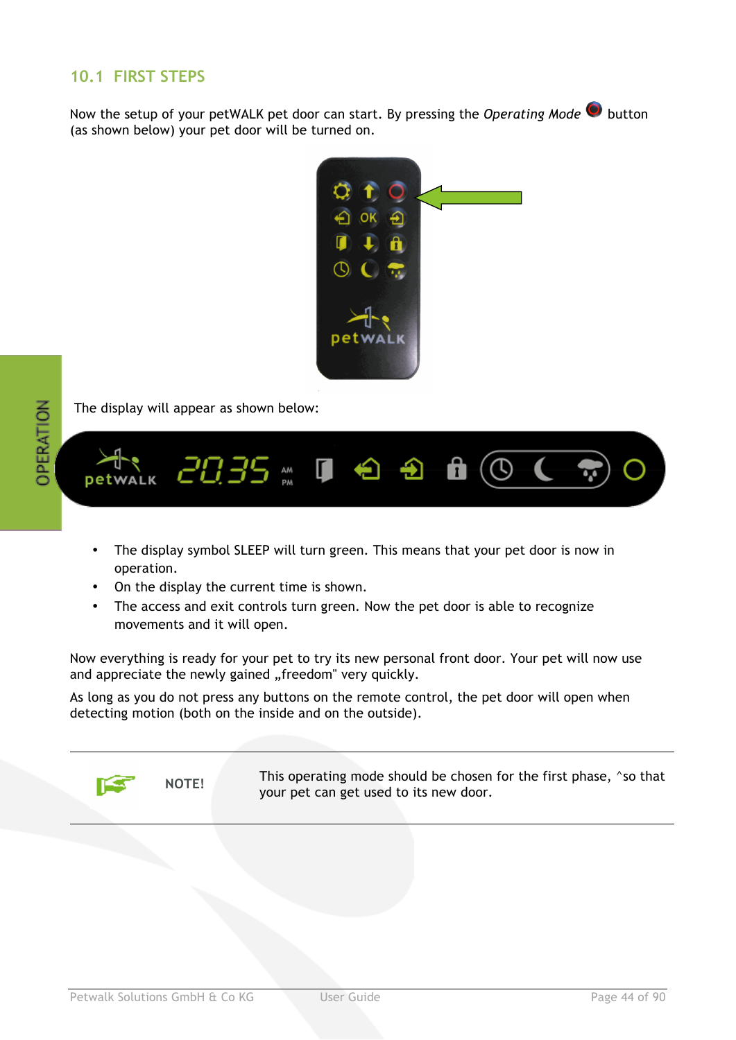# **10.1 FIRST STEPS**

Now the setup of your petWALK pet door can start. By pressing the *Operating Mode*  $\bullet$  button (as shown below) your pet door will be turned on.



*OPERATION* 

The display will appear as shown below:



- The display symbol SLEEP will turn green. This means that your pet door is now in operation.
- On the display the current time is shown.
- The access and exit controls turn green. Now the pet door is able to recognize movements and it will open.

Now everything is ready for your pet to try its new personal front door. Your pet will now use and appreciate the newly gained "freedom" very quickly.

As long as you do not press any buttons on the remote control, the pet door will open when detecting motion (both on the inside and on the outside).



NOTE! This operating mode should be chosen for the first phase,  $\gamma$ so that your pet can get used to its new door.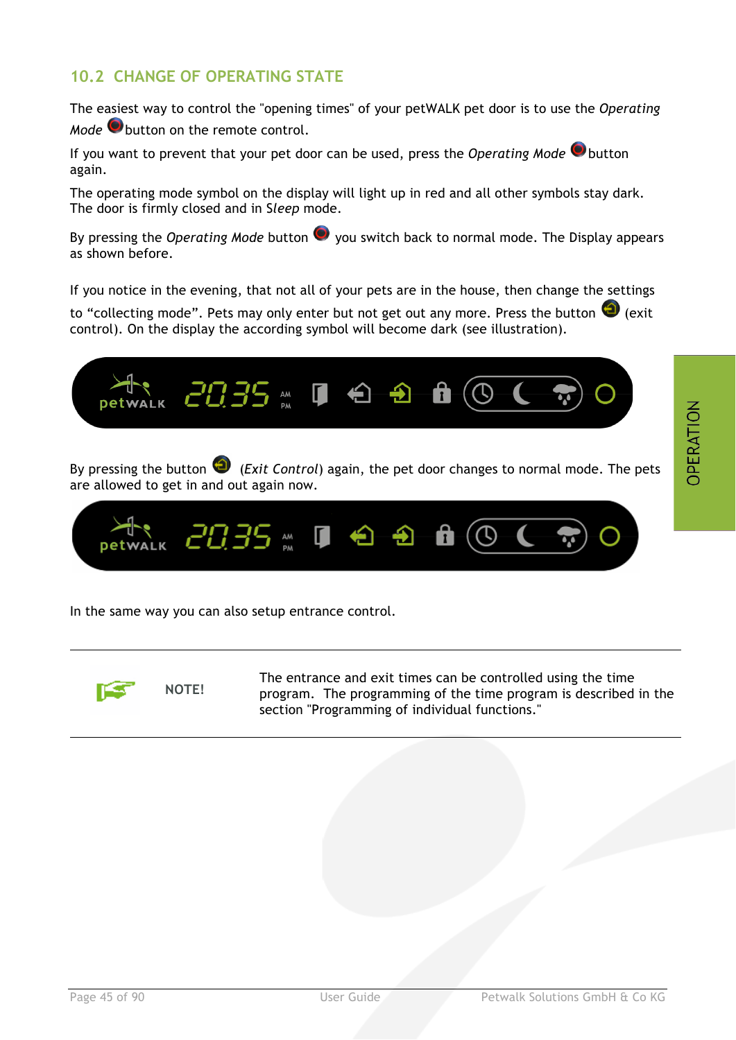## **10.2 CHANGE OF OPERATING STATE**

The easiest way to control the "opening times" of your petWALK pet door is to use the *Operating Mode* button on the remote control.

If you want to prevent that your pet door can be used, press the *Operating Mode* Obutton again.

The operating mode symbol on the display will light up in red and all other symbols stay dark. The door is firmly closed and in S*leep* mode.

By pressing the *Operating Mode* button  $\bullet$  you switch back to normal mode. The Display appears as shown before.

If you notice in the evening, that not all of your pets are in the house, then change the settings

to "collecting mode". Pets may only enter but not get out any more. Press the button  $\bigoplus$  (exit control). On the display the according symbol will become dark (see illustration).



In the same way you can also setup entrance control.



The entrance and exit times can be controlled using the time<br>NOTE! program The programming of the time program is described program. The programming of the time program is described in the section "Programming of individual functions."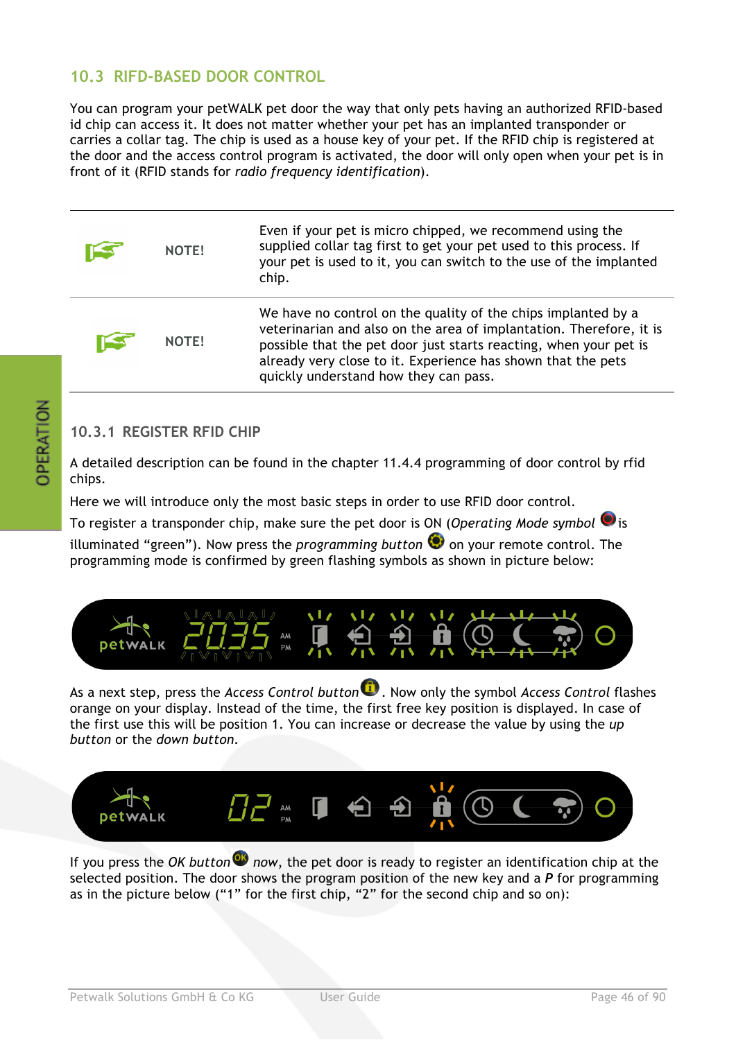## **10.3 RIFD-BASED DOOR CONTROL**

You can program your petWALK pet door the way that only pets having an authorized RFID-based id chip can access it. It does not matter whether your pet has an implanted transponder or carries a collar tag. The chip is used as a house key of your pet. If the RFID chip is registered at the door and the access control program is activated, the door will only open when your pet is in front of it (RFID stands for *radio frequency identification*).

| <b>NOTE!</b> | Even if your pet is micro chipped, we recommend using the<br>supplied collar tag first to get your pet used to this process. If<br>your pet is used to it, you can switch to the use of the implanted<br>chip.                                                                                                     |
|--------------|--------------------------------------------------------------------------------------------------------------------------------------------------------------------------------------------------------------------------------------------------------------------------------------------------------------------|
| NOTE!        | We have no control on the quality of the chips implanted by a<br>veterinarian and also on the area of implantation. Therefore, it is<br>possible that the pet door just starts reacting, when your pet is<br>already very close to it. Experience has shown that the pets<br>quickly understand how they can pass. |

## **10.3.1 REGISTER RFID CHIP**

A detailed description can be found in the chapter 11.4.4 programming of door control by rfid chips.

Here we will introduce only the most basic steps in order to use RFID door control.

To register a transponder chip, make sure the pet door is ON (*Operating Mode symbol* is

illuminated "green"). Now press the *programming button*  $\bullet$  on your remote control. The programming mode is confirmed by green flashing symbols as shown in picture below:



As a next step, press the *Access Control button* . Now only the symbol *Access Control* flashes orange on your display. Instead of the time, the first free key position is displayed. In case of the first use this will be position 1. You can increase or decrease the value by using the *up button* or the *down button.*



If you press the *OK button now*, the pet door is ready to register an identification chip at the selected position. The door shows the program position of the new key and a *P* for programming as in the picture below ("1" for the first chip, "2" for the second chip and so on):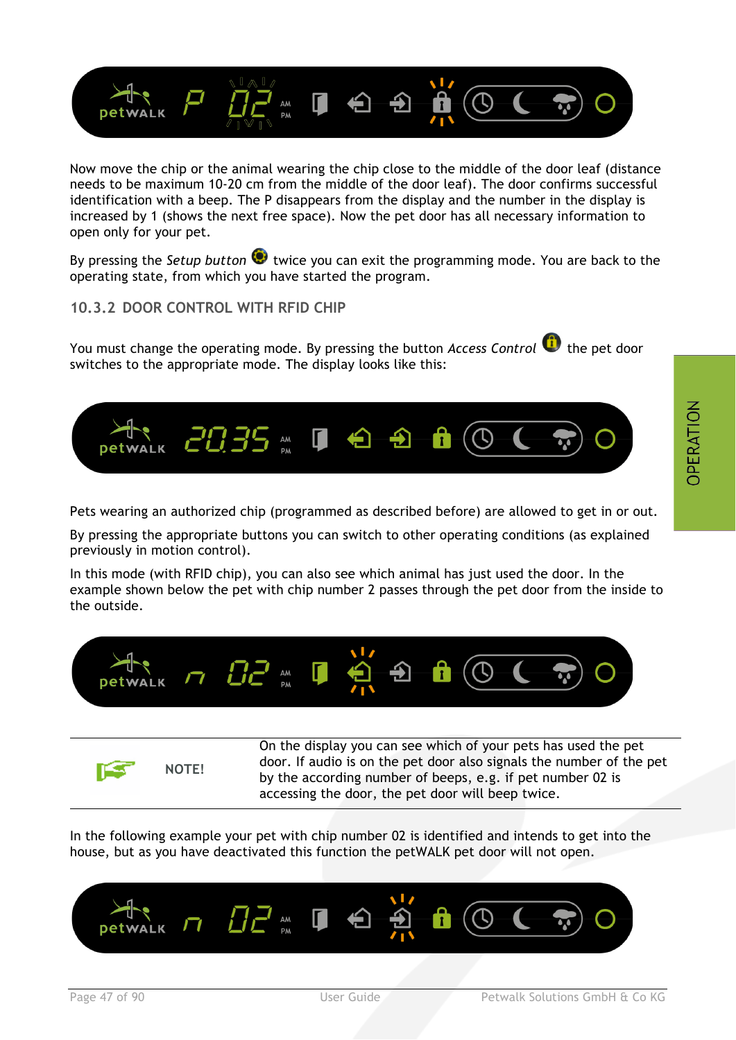

Now move the chip or the animal wearing the chip close to the middle of the door leaf (distance needs to be maximum 10-20 cm from the middle of the door leaf). The door confirms successful identification with a beep. The P disappears from the display and the number in the display is increased by 1 (shows the next free space). Now the pet door has all necessary information to open only for your pet.

By pressing the *Setup button*  $\bullet$  twice you can exit the programming mode. You are back to the operating state, from which you have started the program.

**10.3.2 DOOR CONTROL WITH RFID CHIP**

You must change the operating mode. By pressing the button *Access Control*  $\bullet$  the pet door switches to the appropriate mode. The display looks like this:



Pets wearing an authorized chip (programmed as described before) are allowed to get in or out.

By pressing the appropriate buttons you can switch to other operating conditions (as explained previously in motion control).

In this mode (with RFID chip), you can also see which animal has just used the door. In the example shown below the pet with chip number 2 passes through the pet door from the inside to the outside.





On the display you can see which of your pets has used the pet door. If audio is on the pet door also signals the number of the pet by the according number of beeps, e.g. if pet number 02 is accessing the door, the pet door will beep twice.

In the following example your pet with chip number 02 is identified and intends to get into the house, but as you have deactivated this function the petWALK pet door will not open.

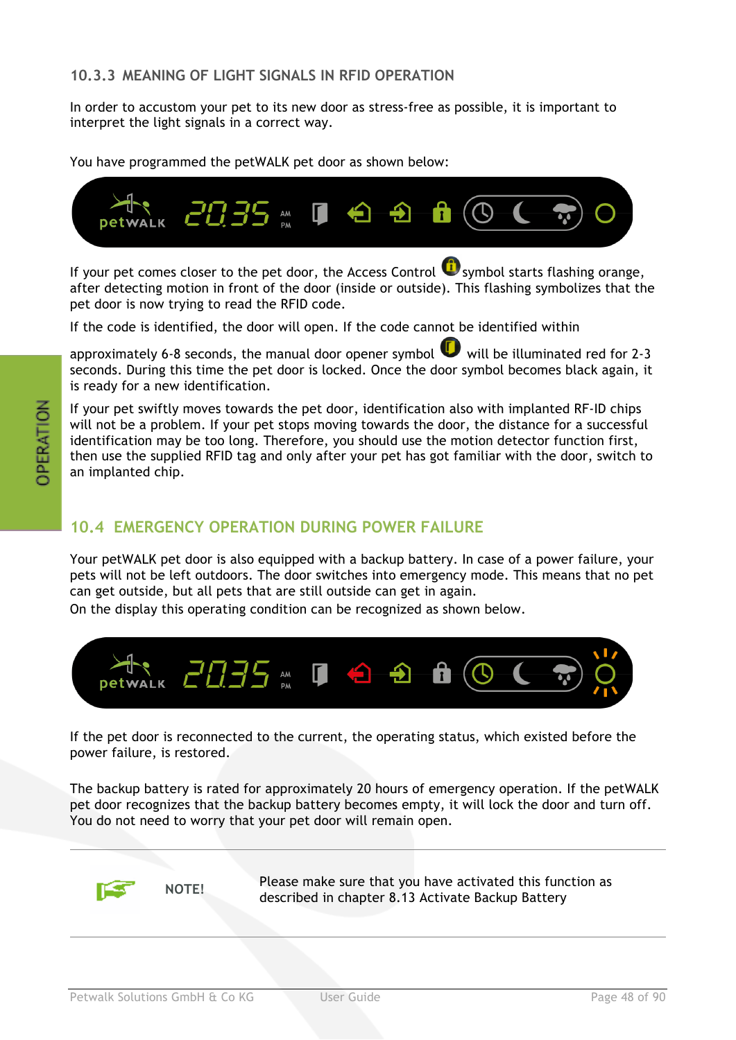In order to accustom your pet to its new door as stress-free as possible, it is important to interpret the light signals in a correct way.

You have programmed the petWALK pet door as shown below:



If your pet comes closer to the pet door, the Access Control  $\mathbf G$  symbol starts flashing orange, after detecting motion in front of the door (inside or outside). This flashing symbolizes that the pet door is now trying to read the RFID code.

If the code is identified, the door will open. If the code cannot be identified within

approximately 6-8 seconds, the manual door opener symbol  $\bigcup$  will be illuminated red for 2-3 seconds. During this time the pet door is locked. Once the door symbol becomes black again, it is ready for a new identification.

If your pet swiftly moves towards the pet door, identification also with implanted RF-ID chips will not be a problem. If your pet stops moving towards the door, the distance for a successful identification may be too long. Therefore, you should use the motion detector function first, then use the supplied RFID tag and only after your pet has got familiar with the door, switch to an implanted chip.

## **10.4 EMERGENCY OPERATION DURING POWER FAILURE**

Your petWALK pet door is also equipped with a backup battery. In case of a power failure, your pets will not be left outdoors. The door switches into emergency mode. This means that no pet can get outside, but all pets that are still outside can get in again.

On the display this operating condition can be recognized as shown below.



If the pet door is reconnected to the current, the operating status, which existed before the power failure, is restored.

The backup battery is rated for approximately 20 hours of emergency operation. If the petWALK pet door recognizes that the backup battery becomes empty, it will lock the door and turn off. You do not need to worry that your pet door will remain open.



**NOTE!** Please make sure that you have activated this function as described in chapter 8.13 Activate Backup Battery